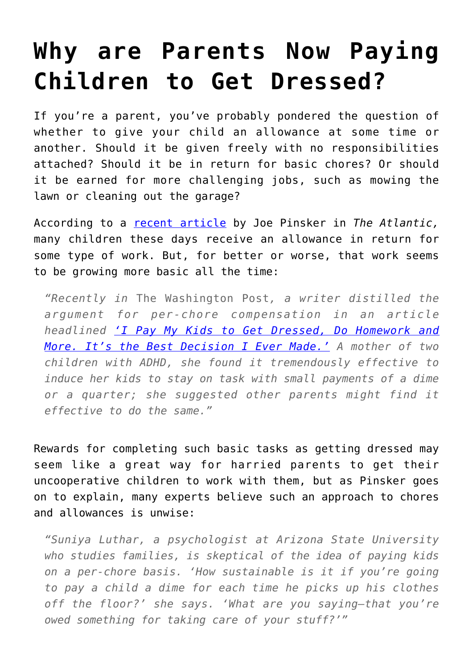## **[Why are Parents Now Paying](https://intellectualtakeout.org/2019/01/why-are-parents-now-paying-children-to-get-dressed/) [Children to Get Dressed?](https://intellectualtakeout.org/2019/01/why-are-parents-now-paying-children-to-get-dressed/)**

If you're a parent, you've probably pondered the question of whether to give your child an allowance at some time or another. Should it be given freely with no responsibilities attached? Should it be in return for basic chores? Or should it be earned for more challenging jobs, such as mowing the lawn or cleaning out the garage?

According to a [recent article](https://www.theatlantic.com/family/archive/2018/12/allowance-kids-chores-help/578848/?utm_source=facebook&utm_medium=social&utm_content=edit-promo&utm_term=2018-12-26T13%3A00%3A04&utm_campaign=the-atlantic&fbclid=IwAR0j7KD_bw0zKz-x7Dv-nP59iaPm9OLMw4Vy9qRCLxT2VjuGbVhzrwRCn2g&fbclid=IwAR0wPIcYIoagLEewtT8mHwSlUGnF7hJJeXmt6HRHkupnwSkpBxKgYvOxy4U) by Joe Pinsker in *The Atlantic,* many children these days receive an allowance in return for some type of work. But, for better or worse, that work seems to be growing more basic all the time:

*"Recently in* The Washington Post*, a writer distilled the argument for per-chore compensation in an article headlined ['I Pay My Kids to Get Dressed, Do Homework and](https://www.washingtonpost.com/lifestyle/2018/12/10/i-pay-my-kids-get-dressed-do-homework-more-its-best-decision-i-ever-made/?utm_term=.c2604ab781ab) [More. It's the Best Decision I Ever Made.'](https://www.washingtonpost.com/lifestyle/2018/12/10/i-pay-my-kids-get-dressed-do-homework-more-its-best-decision-i-ever-made/?utm_term=.c2604ab781ab) A mother of two children with ADHD, she found it tremendously effective to induce her kids to stay on task with small payments of a dime or a quarter; she suggested other parents might find it effective to do the same."*

Rewards for completing such basic tasks as getting dressed may seem like a great way for harried parents to get their uncooperative children to work with them, but as Pinsker goes on to explain, many experts believe such an approach to chores and allowances is unwise:

*"Suniya Luthar, a psychologist at Arizona State University who studies families, is skeptical of the idea of paying kids on a per-chore basis. 'How sustainable is it if you're going to pay a child a dime for each time he picks up his clothes off the floor?' she says. 'What are you saying—that you're owed something for taking care of your stuff?'"*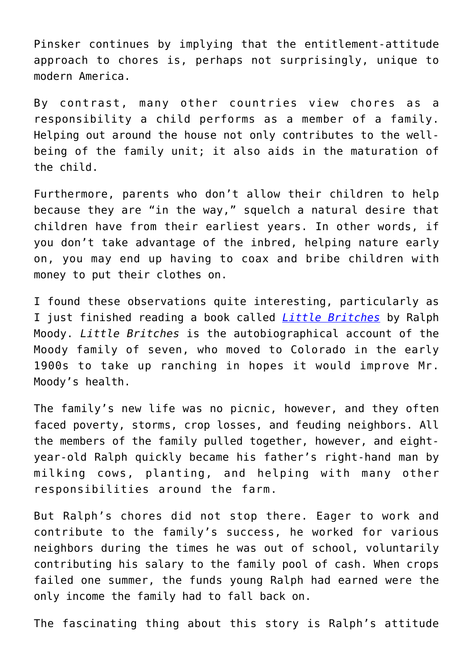Pinsker continues by implying that the entitlement-attitude approach to chores is, perhaps not surprisingly, unique to modern America.

By contrast, many other countries view chores as a responsibility a child performs as a member of a family. Helping out around the house not only contributes to the wellbeing of the family unit; it also aids in the maturation of the child.

Furthermore, parents who don't allow their children to help because they are "in the way," squelch a natural desire that children have from their earliest years. In other words, if you don't take advantage of the inbred, helping nature early on, you may end up having to coax and bribe children with money to put their clothes on.

I found these observations quite interesting, particularly as I just finished reading a book called *[Little Britches](https://purplehousepress.com/product/little-britches-father-and-i-were-ranchers/)* by Ralph Moody. *Little Britches* is the autobiographical account of the Moody family of seven, who moved to Colorado in the early 1900s to take up ranching in hopes it would improve Mr. Moody's health.

The family's new life was no picnic, however, and they often faced poverty, storms, crop losses, and feuding neighbors. All the members of the family pulled together, however, and eightyear-old Ralph quickly became his father's right-hand man by milking cows, planting, and helping with many other responsibilities around the farm.

But Ralph's chores did not stop there. Eager to work and contribute to the family's success, he worked for various neighbors during the times he was out of school, voluntarily contributing his salary to the family pool of cash. When crops failed one summer, the funds young Ralph had earned were the only income the family had to fall back on.

The fascinating thing about this story is Ralph's attitude